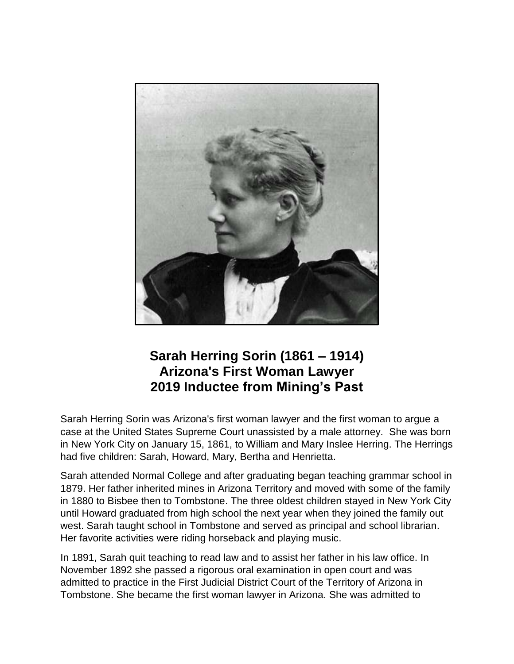

## **Sarah Herring Sorin (1861 – 1914) Arizona's First Woman Lawyer 2019 Inductee from Mining's Past**

Sarah Herring Sorin was Arizona's first woman lawyer and the first woman to argue a case at the United States Supreme Court unassisted by a male attorney. She was born in New York City on January 15, 1861, to William and Mary Inslee Herring. The Herrings had five children: Sarah, Howard, Mary, Bertha and Henrietta.

Sarah attended Normal College and after graduating began teaching grammar school in 1879. Her father inherited mines in Arizona Territory and moved with some of the family in 1880 to Bisbee then to Tombstone. The three oldest children stayed in New York City until Howard graduated from high school the next year when they joined the family out west. Sarah taught school in Tombstone and served as principal and school librarian. Her favorite activities were riding horseback and playing music.

In 1891, Sarah quit teaching to read law and to assist her father in his law office. In November 1892 she passed a rigorous oral examination in open court and was admitted to practice in the First Judicial District Court of the Territory of Arizona in Tombstone. She became the first woman lawyer in Arizona. She was admitted to